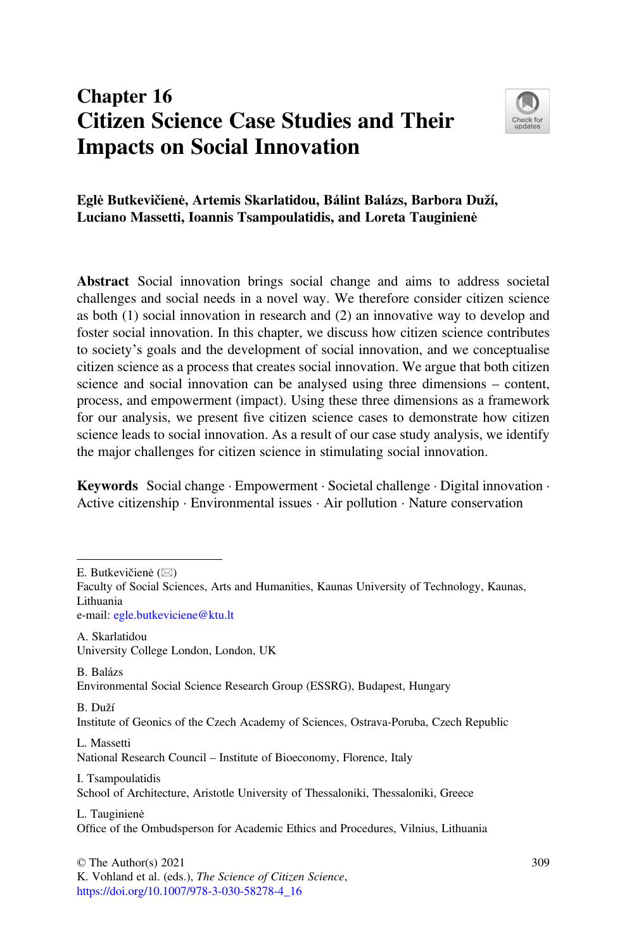# Chapter 16 Citizen Science Case Studies and Their Impacts on Social Innovation



### Eglė Butkevičienė, Artemis Skarlatidou, Bálint Balázs, Barbora Duží, Luciano Massetti, Ioannis Tsampoulatidis, and Loreta Tauginienė

Abstract Social innovation brings social change and aims to address societal challenges and social needs in a novel way. We therefore consider citizen science as both (1) social innovation in research and (2) an innovative way to develop and foster social innovation. In this chapter, we discuss how citizen science contributes to society's goals and the development of social innovation, and we conceptualise citizen science as a process that creates social innovation. We argue that both citizen science and social innovation can be analysed using three dimensions – content, process, and empowerment (impact). Using these three dimensions as a framework for our analysis, we present five citizen science cases to demonstrate how citizen science leads to social innovation. As a result of our case study analysis, we identify the major challenges for citizen science in stimulating social innovation.

Keywords Social change · Empowerment · Societal challenge · Digital innovation · Active citizenship · Environmental issues · Air pollution · Nature conservation

e-mail: [egle.butkeviciene@ktu.lt](mailto:egle.butkeviciene@ktu.lt)

A. Skarlatidou University College London, London, UK

B. Balázs Environmental Social Science Research Group (ESSRG), Budapest, Hungary

B. Duží Institute of Geonics of the Czech Academy of Sciences, Ostrava-Poruba, Czech Republic

L. Massetti

National Research Council – Institute of Bioeconomy, Florence, Italy

I. Tsampoulatidis School of Architecture, Aristotle University of Thessaloniki, Thessaloniki, Greece

L. Tauginienė Office of the Ombudsperson for Academic Ethics and Procedures, Vilnius, Lithuania

© The Author(s) 2021 K. Vohland et al. (eds.), The Science of Citizen Science, [https://doi.org/10.1007/978-3-030-58278-4\\_16](https://doi.org/10.1007/978-3-030-58278-4_16#DOI)

E. Butkevičienė  $(\boxtimes)$ 

Faculty of Social Sciences, Arts and Humanities, Kaunas University of Technology, Kaunas, Lithuania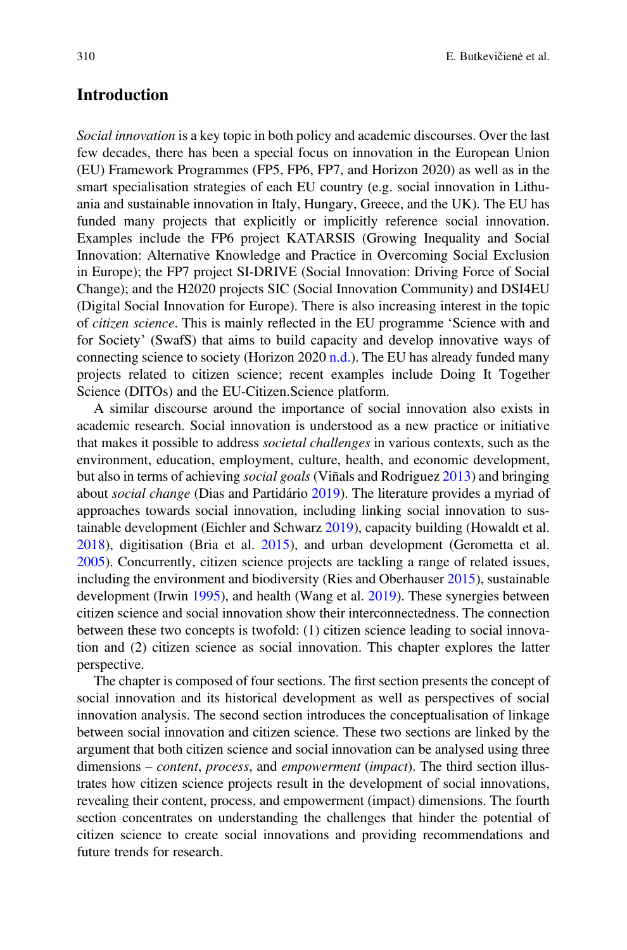### Introduction

Social innovation is a key topic in both policy and academic discourses. Over the last few decades, there has been a special focus on innovation in the European Union (EU) Framework Programmes (FP5, FP6, FP7, and Horizon 2020) as well as in the smart specialisation strategies of each EU country (e.g. social innovation in Lithuania and sustainable innovation in Italy, Hungary, Greece, and the UK). The EU has funded many projects that explicitly or implicitly reference social innovation. Examples include the FP6 project KATARSIS (Growing Inequality and Social Innovation: Alternative Knowledge and Practice in Overcoming Social Exclusion in Europe); the FP7 project SI-DRIVE (Social Innovation: Driving Force of Social Change); and the H2020 projects SIC (Social Innovation Community) and DSI4EU (Digital Social Innovation for Europe). There is also increasing interest in the topic of citizen science. This is mainly reflected in the EU programme 'Science with and for Society' (SwafS) that aims to build capacity and develop innovative ways of connecting science to society (Horizon 2020 [n.d.\)](#page-17-0). The EU has already funded many projects related to citizen science; recent examples include Doing It Together Science (DITOs) and the EU-Citizen.Science platform.

A similar discourse around the importance of social innovation also exists in academic research. Social innovation is understood as a new practice or initiative that makes it possible to address societal challenges in various contexts, such as the environment, education, employment, culture, health, and economic development, but also in terms of achieving social goals (Viñals and Rodriguez [2013](#page-19-0)) and bringing about social change (Dias and Partidário [2019\)](#page-17-1). The literature provides a myriad of approaches towards social innovation, including linking social innovation to sustainable development (Eichler and Schwarz [2019](#page-17-2)), capacity building (Howaldt et al. [2018\)](#page-18-0), digitisation (Bria et al. [2015](#page-17-3)), and urban development (Gerometta et al. [2005\)](#page-17-4). Concurrently, citizen science projects are tackling a range of related issues, including the environment and biodiversity (Ries and Oberhauser [2015\)](#page-18-1), sustainable development (Irwin [1995\)](#page-18-2), and health (Wang et al. [2019](#page-19-1)). These synergies between citizen science and social innovation show their interconnectedness. The connection between these two concepts is twofold: (1) citizen science leading to social innovation and (2) citizen science as social innovation. This chapter explores the latter perspective.

The chapter is composed of four sections. The first section presents the concept of social innovation and its historical development as well as perspectives of social innovation analysis. The second section introduces the conceptualisation of linkage between social innovation and citizen science. These two sections are linked by the argument that both citizen science and social innovation can be analysed using three dimensions – *content, process,* and *empowerment (impact)*. The third section illustrates how citizen science projects result in the development of social innovations, revealing their content, process, and empowerment (impact) dimensions. The fourth section concentrates on understanding the challenges that hinder the potential of citizen science to create social innovations and providing recommendations and future trends for research.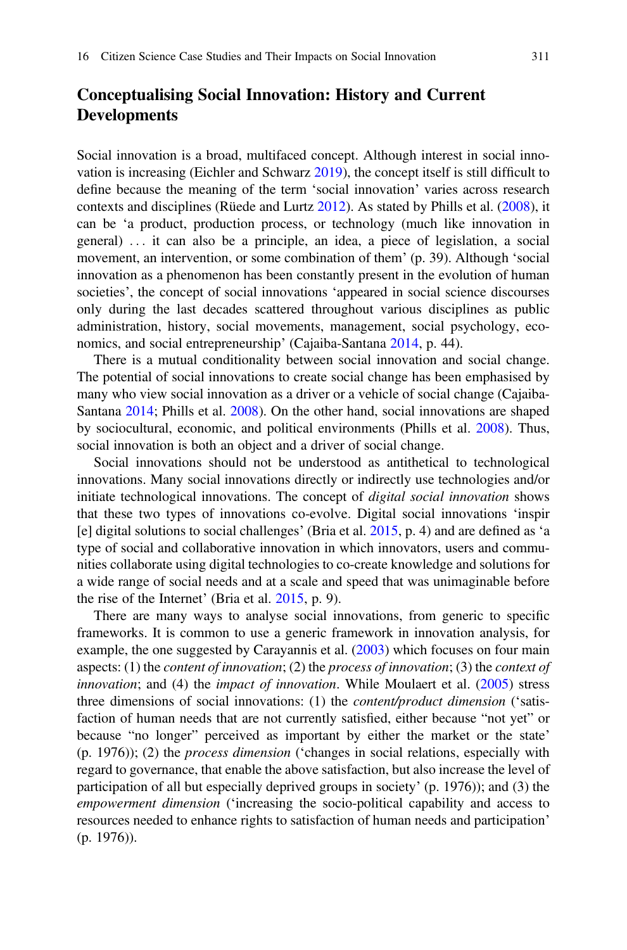# Conceptualising Social Innovation: History and Current Developments

Social innovation is a broad, multifaced concept. Although interest in social innovation is increasing (Eichler and Schwarz [2019](#page-17-2)), the concept itself is still difficult to define because the meaning of the term 'social innovation' varies across research contexts and disciplines (Rüede and Lurtz [2012\)](#page-18-3). As stated by Phills et al. ([2008\)](#page-18-4), it can be 'a product, production process, or technology (much like innovation in general) ... it can also be a principle, an idea, a piece of legislation, a social movement, an intervention, or some combination of them' (p. 39). Although 'social innovation as a phenomenon has been constantly present in the evolution of human societies', the concept of social innovations 'appeared in social science discourses only during the last decades scattered throughout various disciplines as public administration, history, social movements, management, social psychology, economics, and social entrepreneurship' (Cajaiba-Santana [2014,](#page-17-5) p. 44).

There is a mutual conditionality between social innovation and social change. The potential of social innovations to create social change has been emphasised by many who view social innovation as a driver or a vehicle of social change (Cajaiba-Santana [2014](#page-17-5); Phills et al. [2008](#page-18-4)). On the other hand, social innovations are shaped by sociocultural, economic, and political environments (Phills et al. [2008\)](#page-18-4). Thus, social innovation is both an object and a driver of social change.

Social innovations should not be understood as antithetical to technological innovations. Many social innovations directly or indirectly use technologies and/or initiate technological innovations. The concept of digital social innovation shows that these two types of innovations co-evolve. Digital social innovations 'inspir [e] digital solutions to social challenges' (Bria et al. [2015](#page-17-3), p. 4) and are defined as 'a type of social and collaborative innovation in which innovators, users and communities collaborate using digital technologies to co-create knowledge and solutions for a wide range of social needs and at a scale and speed that was unimaginable before the rise of the Internet' (Bria et al. [2015](#page-17-3), p. 9).

There are many ways to analyse social innovations, from generic to specific frameworks. It is common to use a generic framework in innovation analysis, for example, the one suggested by Carayannis et al. ([2003\)](#page-17-6) which focuses on four main aspects: (1) the *content of innovation*; (2) the *process of innovation*; (3) the *context of innovation*; and (4) the *impact of innovation*. While Moulaert et al.  $(2005)$  $(2005)$  stress three dimensions of social innovations: (1) the content/product dimension ('satisfaction of human needs that are not currently satisfied, either because "not yet" or because "no longer" perceived as important by either the market or the state' (p. 1976)); (2) the process dimension ('changes in social relations, especially with regard to governance, that enable the above satisfaction, but also increase the level of participation of all but especially deprived groups in society' (p. 1976)); and (3) the empowerment dimension ('increasing the socio-political capability and access to resources needed to enhance rights to satisfaction of human needs and participation' (p. 1976)).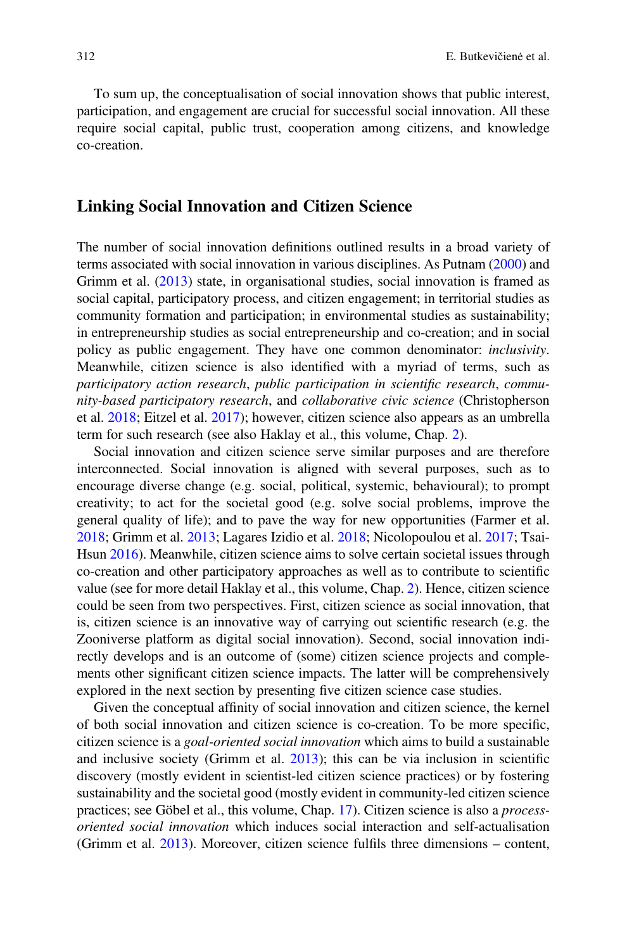To sum up, the conceptualisation of social innovation shows that public interest, participation, and engagement are crucial for successful social innovation. All these require social capital, public trust, cooperation among citizens, and knowledge co-creation.

#### Linking Social Innovation and Citizen Science

The number of social innovation definitions outlined results in a broad variety of terms associated with social innovation in various disciplines. As Putnam ([2000\)](#page-18-6) and Grimm et al. ([2013\)](#page-17-7) state, in organisational studies, social innovation is framed as social capital, participatory process, and citizen engagement; in territorial studies as community formation and participation; in environmental studies as sustainability; in entrepreneurship studies as social entrepreneurship and co-creation; and in social policy as public engagement. They have one common denominator: inclusivity. Meanwhile, citizen science is also identified with a myriad of terms, such as participatory action research, public participation in scientific research, community-based participatory research, and collaborative civic science (Christopherson et al. [2018;](#page-17-8) Eitzel et al. [2017](#page-17-9)); however, citizen science also appears as an umbrella term for such research (see also Haklay et al., this volume, Chap. [2](https://doi.org/10.1007/978-3-030-58278-4_2)).

Social innovation and citizen science serve similar purposes and are therefore interconnected. Social innovation is aligned with several purposes, such as to encourage diverse change (e.g. social, political, systemic, behavioural); to prompt creativity; to act for the societal good (e.g. solve social problems, improve the general quality of life); and to pave the way for new opportunities (Farmer et al. [2018;](#page-17-10) Grimm et al. [2013](#page-17-7); Lagares Izidio et al. [2018;](#page-18-7) Nicolopoulou et al. [2017](#page-18-8); Tsai-Hsun [2016](#page-19-2)). Meanwhile, citizen science aims to solve certain societal issues through co-creation and other participatory approaches as well as to contribute to scientific value (see for more detail Haklay et al., this volume, Chap. [2](https://doi.org/10.1007/978-3-030-58278-4_2)). Hence, citizen science could be seen from two perspectives. First, citizen science as social innovation, that is, citizen science is an innovative way of carrying out scientific research (e.g. the Zooniverse platform as digital social innovation). Second, social innovation indirectly develops and is an outcome of (some) citizen science projects and complements other significant citizen science impacts. The latter will be comprehensively explored in the next section by presenting five citizen science case studies.

Given the conceptual affinity of social innovation and citizen science, the kernel of both social innovation and citizen science is co-creation. To be more specific, citizen science is a goal-oriented social innovation which aims to build a sustainable and inclusive society (Grimm et al. [2013](#page-17-7)); this can be via inclusion in scientific discovery (mostly evident in scientist-led citizen science practices) or by fostering sustainability and the societal good (mostly evident in community-led citizen science practices; see Göbel et al., this volume, Chap. [17](https://doi.org/10.1007/978-3-030-58278-4_17)). Citizen science is also a processoriented social innovation which induces social interaction and self-actualisation (Grimm et al. [2013](#page-17-7)). Moreover, citizen science fulfils three dimensions – content,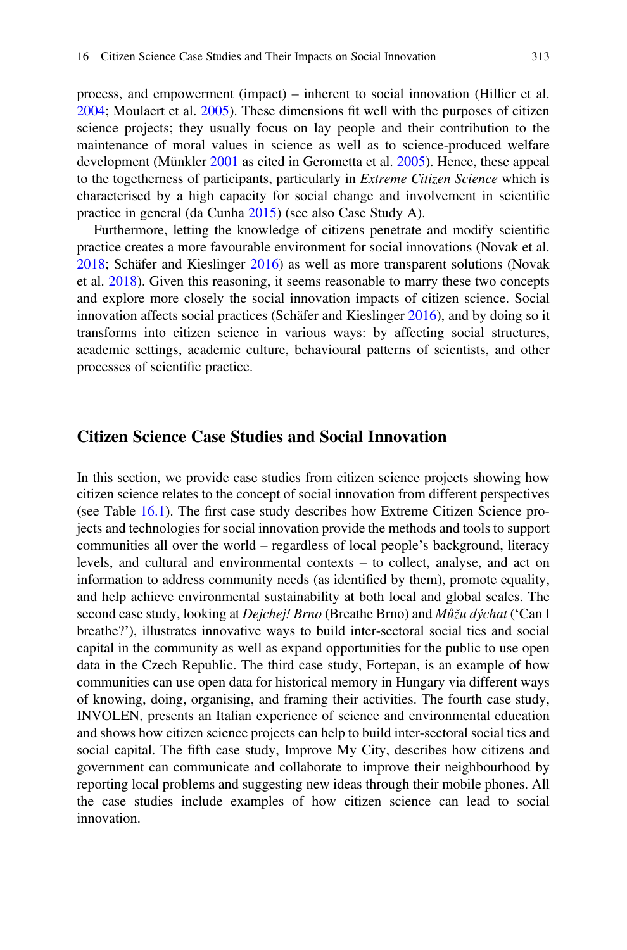process, and empowerment (impact) – inherent to social innovation (Hillier et al. [2004;](#page-17-11) Moulaert et al. [2005\)](#page-18-5). These dimensions fit well with the purposes of citizen science projects; they usually focus on lay people and their contribution to the maintenance of moral values in science as well as to science-produced welfare development (Münkler [2001](#page-18-9) as cited in Gerometta et al. [2005](#page-17-4)). Hence, these appeal to the togetherness of participants, particularly in Extreme Citizen Science which is characterised by a high capacity for social change and involvement in scientific practice in general (da Cunha [2015](#page-17-12)) (see also Case Study A).

Furthermore, letting the knowledge of citizens penetrate and modify scientific practice creates a more favourable environment for social innovations (Novak et al. [2018;](#page-18-10) Schäfer and Kieslinger [2016\)](#page-18-11) as well as more transparent solutions (Novak et al. [2018](#page-18-10)). Given this reasoning, it seems reasonable to marry these two concepts and explore more closely the social innovation impacts of citizen science. Social innovation affects social practices (Schäfer and Kieslinger [2016](#page-18-11)), and by doing so it transforms into citizen science in various ways: by affecting social structures, academic settings, academic culture, behavioural patterns of scientists, and other processes of scientific practice.

### Citizen Science Case Studies and Social Innovation

In this section, we provide case studies from citizen science projects showing how citizen science relates to the concept of social innovation from different perspectives (see Table [16.1\)](#page-5-0). The first case study describes how Extreme Citizen Science projects and technologies for social innovation provide the methods and tools to support communities all over the world – regardless of local people's background, literacy levels, and cultural and environmental contexts – to collect, analyse, and act on information to address community needs (as identified by them), promote equality, and help achieve environmental sustainability at both local and global scales. The second case study, looking at *Dejchej! Brno* (Breathe Brno) and *Můžu dýchat* ('Can I breathe?'), illustrates innovative ways to build inter-sectoral social ties and social capital in the community as well as expand opportunities for the public to use open data in the Czech Republic. The third case study, Fortepan, is an example of how communities can use open data for historical memory in Hungary via different ways of knowing, doing, organising, and framing their activities. The fourth case study, INVOLEN, presents an Italian experience of science and environmental education and shows how citizen science projects can help to build inter-sectoral social ties and social capital. The fifth case study, Improve My City, describes how citizens and government can communicate and collaborate to improve their neighbourhood by reporting local problems and suggesting new ideas through their mobile phones. All the case studies include examples of how citizen science can lead to social innovation.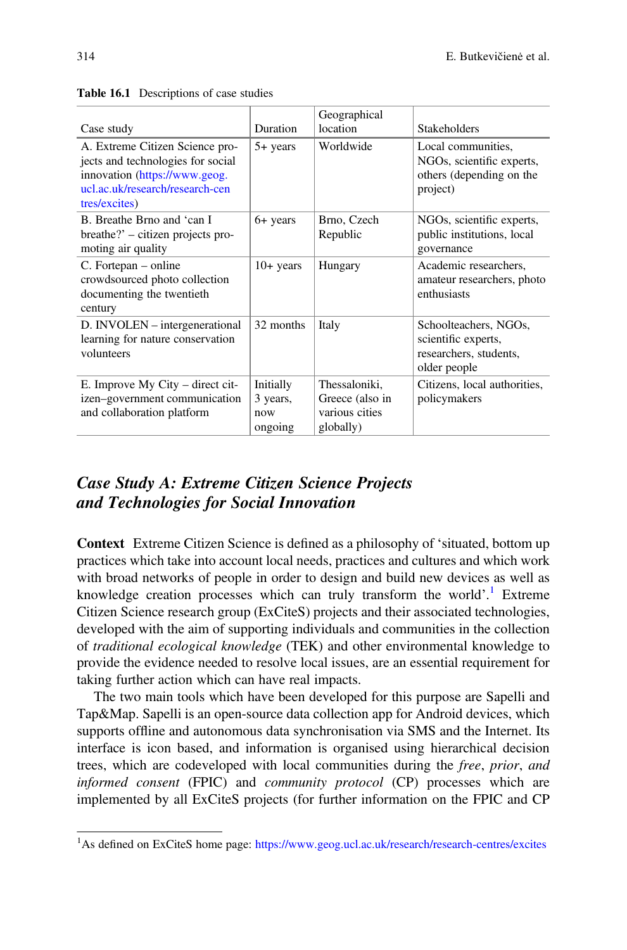|                                                                                                                                                           |                                         | Geographical                                                    |                                                                                         |
|-----------------------------------------------------------------------------------------------------------------------------------------------------------|-----------------------------------------|-----------------------------------------------------------------|-----------------------------------------------------------------------------------------|
| Case study                                                                                                                                                | Duration                                | location                                                        | Stakeholders                                                                            |
| A. Extreme Citizen Science pro-<br>jects and technologies for social<br>innovation (https://www.geog.<br>ucl.ac.uk/research/research-cen<br>tres/excites) | $5+$ years                              | Worldwide                                                       | Local communities,<br>NGOs, scientific experts,<br>others (depending on the<br>project) |
| B. Breathe Brno and 'can I<br>$breather$ ? – citizen projects pro-<br>moting air quality                                                                  | 6+ years                                | Brno, Czech<br>Republic                                         | NGOs, scientific experts,<br>public institutions, local<br>governance                   |
| C. Fortepan – online<br>crowdsourced photo collection<br>documenting the twentieth<br>century                                                             | $10+$ years                             | Hungary                                                         | Academic researchers.<br>amateur researchers, photo<br>enthusiasts                      |
| D. INVOLEN – intergenerational<br>learning for nature conservation<br>volunteers                                                                          | 32 months                               | Italy                                                           | Schoolteachers, NGOs,<br>scientific experts,<br>researchers, students,<br>older people  |
| E. Improve My City – direct cit-<br>izen-government communication<br>and collaboration platform                                                           | Initially<br>3 years,<br>now<br>ongoing | Thessaloniki,<br>Greece (also in<br>various cities<br>globally) | Citizens, local authorities,<br>policymakers                                            |

#### <span id="page-5-0"></span>Table 16.1 Descriptions of case studies

# Case Study A: Extreme Citizen Science Projects and Technologies for Social Innovation

Context Extreme Citizen Science is defined as a philosophy of 'situated, bottom up practices which take into account local needs, practices and cultures and which work with broad networks of people in order to design and build new devices as well as knowledge creation processes which can truly transform the world'.<sup>[1](#page-5-1)</sup> Extreme Citizen Science research group (ExCiteS) projects and their associated technologies, developed with the aim of supporting individuals and communities in the collection of traditional ecological knowledge (TEK) and other environmental knowledge to provide the evidence needed to resolve local issues, are an essential requirement for taking further action which can have real impacts.

The two main tools which have been developed for this purpose are Sapelli and Tap&Map. Sapelli is an open-source data collection app for Android devices, which supports offline and autonomous data synchronisation via SMS and the Internet. Its interface is icon based, and information is organised using hierarchical decision trees, which are codeveloped with local communities during the free, prior, and informed consent (FPIC) and community protocol (CP) processes which are implemented by all ExCiteS projects (for further information on the FPIC and CP

<span id="page-5-1"></span><sup>&</sup>lt;sup>1</sup>As defined on ExCiteS home page: <https://www.geog.ucl.ac.uk/research/research-centres/excites>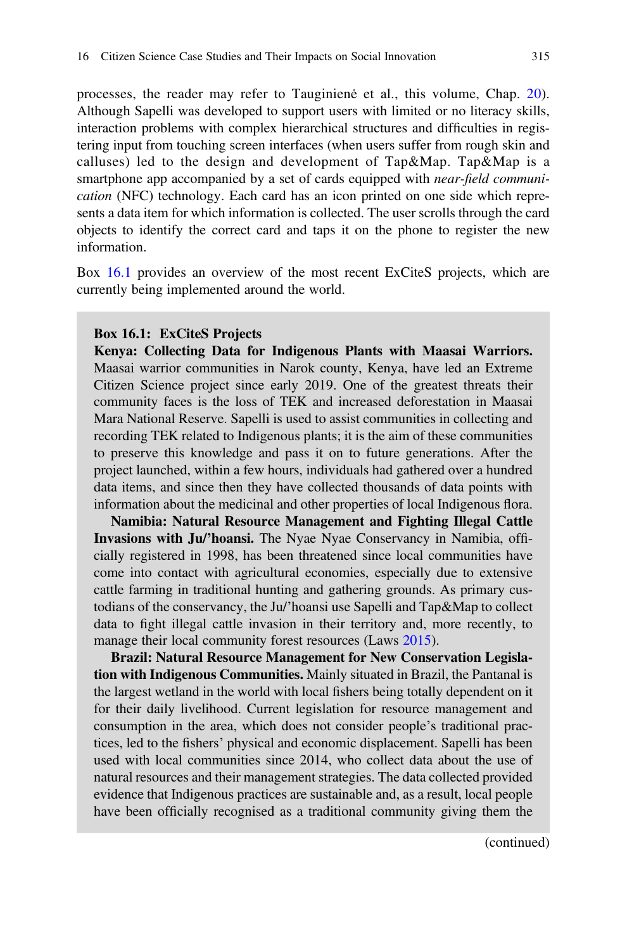processes, the reader may refer to Tauginienė et al., this volume, Chap. [20\)](https://doi.org/10.1007/978-3-030-58278-4_20). Although Sapelli was developed to support users with limited or no literacy skills, interaction problems with complex hierarchical structures and difficulties in registering input from touching screen interfaces (when users suffer from rough skin and calluses) led to the design and development of Tap&Map. Tap&Map is a smartphone app accompanied by a set of cards equipped with *near-field communi*cation (NFC) technology. Each card has an icon printed on one side which represents a data item for which information is collected. The user scrolls through the card objects to identify the correct card and taps it on the phone to register the new information.

<span id="page-6-0"></span>Box [16.1](#page-6-0) provides an overview of the most recent ExCiteS projects, which are currently being implemented around the world.

#### Box 16.1: ExCiteS Projects

Kenya: Collecting Data for Indigenous Plants with Maasai Warriors. Maasai warrior communities in Narok county, Kenya, have led an Extreme Citizen Science project since early 2019. One of the greatest threats their community faces is the loss of TEK and increased deforestation in Maasai Mara National Reserve. Sapelli is used to assist communities in collecting and recording TEK related to Indigenous plants; it is the aim of these communities to preserve this knowledge and pass it on to future generations. After the project launched, within a few hours, individuals had gathered over a hundred data items, and since then they have collected thousands of data points with information about the medicinal and other properties of local Indigenous flora.

Namibia: Natural Resource Management and Fighting Illegal Cattle Invasions with Ju/'hoansi. The Nyae Nyae Conservancy in Namibia, officially registered in 1998, has been threatened since local communities have come into contact with agricultural economies, especially due to extensive cattle farming in traditional hunting and gathering grounds. As primary custodians of the conservancy, the Ju/'hoansi use Sapelli and Tap&Map to collect data to fight illegal cattle invasion in their territory and, more recently, to manage their local community forest resources (Laws [2015\)](#page-18-12).

Brazil: Natural Resource Management for New Conservation Legislation with Indigenous Communities. Mainly situated in Brazil, the Pantanal is the largest wetland in the world with local fishers being totally dependent on it for their daily livelihood. Current legislation for resource management and consumption in the area, which does not consider people's traditional practices, led to the fishers' physical and economic displacement. Sapelli has been used with local communities since 2014, who collect data about the use of natural resources and their management strategies. The data collected provided evidence that Indigenous practices are sustainable and, as a result, local people have been officially recognised as a traditional community giving them the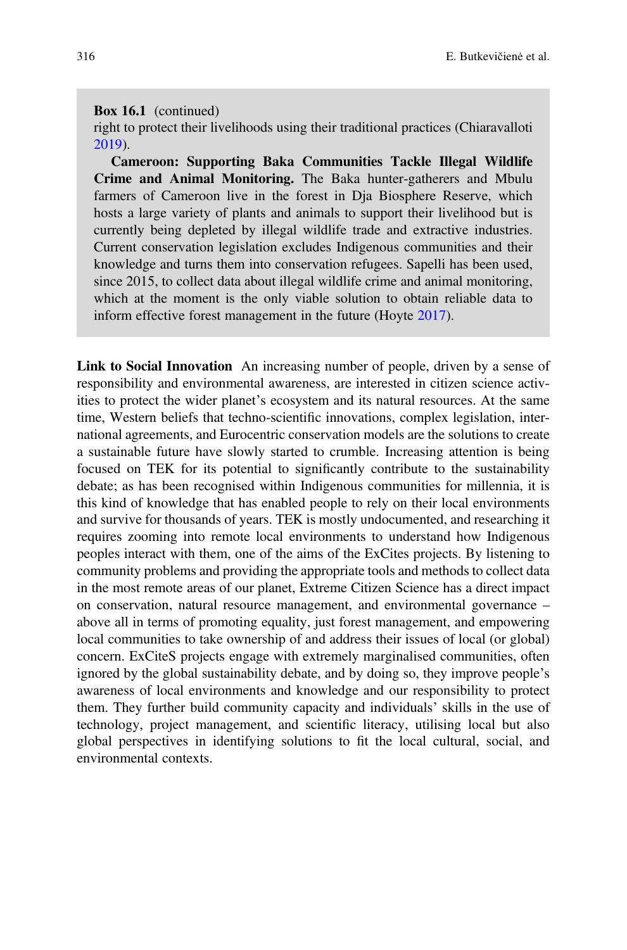#### Box 16.1 (continued)

right to protect their livelihoods using their traditional practices (Chiaravalloti [2019\)](#page-17-13).

Cameroon: Supporting Baka Communities Tackle Illegal Wildlife Crime and Animal Monitoring. The Baka hunter-gatherers and Mbulu farmers of Cameroon live in the forest in Dja Biosphere Reserve, which hosts a large variety of plants and animals to support their livelihood but is currently being depleted by illegal wildlife trade and extractive industries. Current conservation legislation excludes Indigenous communities and their knowledge and turns them into conservation refugees. Sapelli has been used, since 2015, to collect data about illegal wildlife crime and animal monitoring, which at the moment is the only viable solution to obtain reliable data to inform effective forest management in the future (Hoyte [2017\)](#page-18-13).

Link to Social Innovation An increasing number of people, driven by a sense of responsibility and environmental awareness, are interested in citizen science activities to protect the wider planet's ecosystem and its natural resources. At the same time, Western beliefs that techno-scientific innovations, complex legislation, international agreements, and Eurocentric conservation models are the solutions to create a sustainable future have slowly started to crumble. Increasing attention is being focused on TEK for its potential to significantly contribute to the sustainability debate; as has been recognised within Indigenous communities for millennia, it is this kind of knowledge that has enabled people to rely on their local environments and survive for thousands of years. TEK is mostly undocumented, and researching it requires zooming into remote local environments to understand how Indigenous peoples interact with them, one of the aims of the ExCites projects. By listening to community problems and providing the appropriate tools and methods to collect data in the most remote areas of our planet, Extreme Citizen Science has a direct impact on conservation, natural resource management, and environmental governance – above all in terms of promoting equality, just forest management, and empowering local communities to take ownership of and address their issues of local (or global) concern. ExCiteS projects engage with extremely marginalised communities, often ignored by the global sustainability debate, and by doing so, they improve people's awareness of local environments and knowledge and our responsibility to protect them. They further build community capacity and individuals' skills in the use of technology, project management, and scientific literacy, utilising local but also global perspectives in identifying solutions to fit the local cultural, social, and environmental contexts.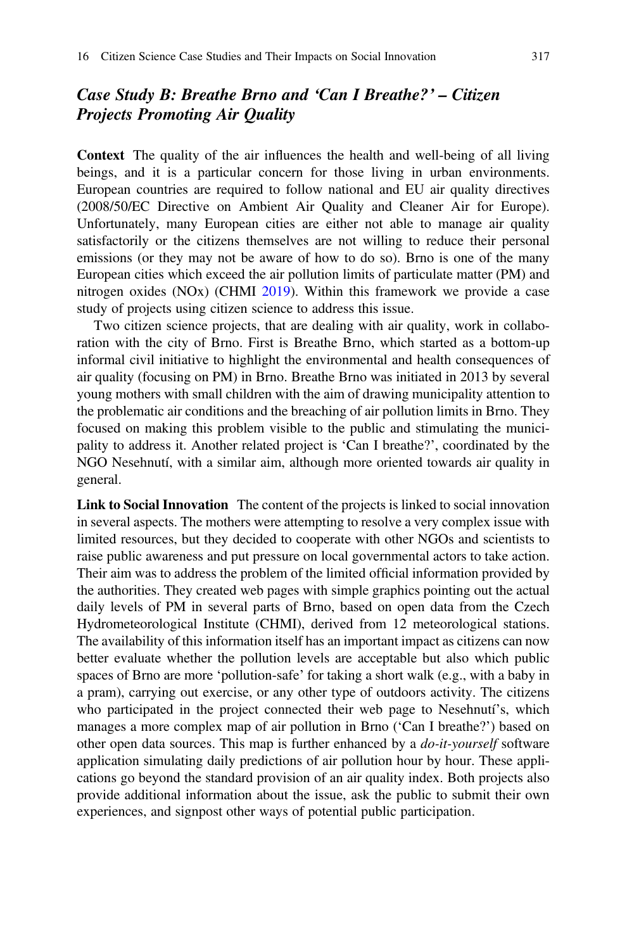## Case Study B: Breathe Brno and 'Can I Breathe?' – Citizen Projects Promoting Air Quality

Context The quality of the air influences the health and well-being of all living beings, and it is a particular concern for those living in urban environments. European countries are required to follow national and EU air quality directives (2008/50/EC Directive on Ambient Air Quality and Cleaner Air for Europe). Unfortunately, many European cities are either not able to manage air quality satisfactorily or the citizens themselves are not willing to reduce their personal emissions (or they may not be aware of how to do so). Brno is one of the many European cities which exceed the air pollution limits of particulate matter (PM) and nitrogen oxides (NOx) (CHMI [2019\)](#page-17-14). Within this framework we provide a case study of projects using citizen science to address this issue.

Two citizen science projects, that are dealing with air quality, work in collaboration with the city of Brno. First is Breathe Brno, which started as a bottom-up informal civil initiative to highlight the environmental and health consequences of air quality (focusing on PM) in Brno. Breathe Brno was initiated in 2013 by several young mothers with small children with the aim of drawing municipality attention to the problematic air conditions and the breaching of air pollution limits in Brno. They focused on making this problem visible to the public and stimulating the municipality to address it. Another related project is 'Can I breathe?', coordinated by the NGO Nesehnutí, with a similar aim, although more oriented towards air quality in general.

Link to Social Innovation The content of the projects is linked to social innovation in several aspects. The mothers were attempting to resolve a very complex issue with limited resources, but they decided to cooperate with other NGOs and scientists to raise public awareness and put pressure on local governmental actors to take action. Their aim was to address the problem of the limited official information provided by the authorities. They created web pages with simple graphics pointing out the actual daily levels of PM in several parts of Brno, based on open data from the Czech Hydrometeorological Institute (CHMI), derived from 12 meteorological stations. The availability of this information itself has an important impact as citizens can now better evaluate whether the pollution levels are acceptable but also which public spaces of Brno are more 'pollution-safe' for taking a short walk (e.g., with a baby in a pram), carrying out exercise, or any other type of outdoors activity. The citizens who participated in the project connected their web page to Nesehnutí's, which manages a more complex map of air pollution in Brno ('Can I breathe?') based on other open data sources. This map is further enhanced by a  $do-it-yourself$  software application simulating daily predictions of air pollution hour by hour. These applications go beyond the standard provision of an air quality index. Both projects also provide additional information about the issue, ask the public to submit their own experiences, and signpost other ways of potential public participation.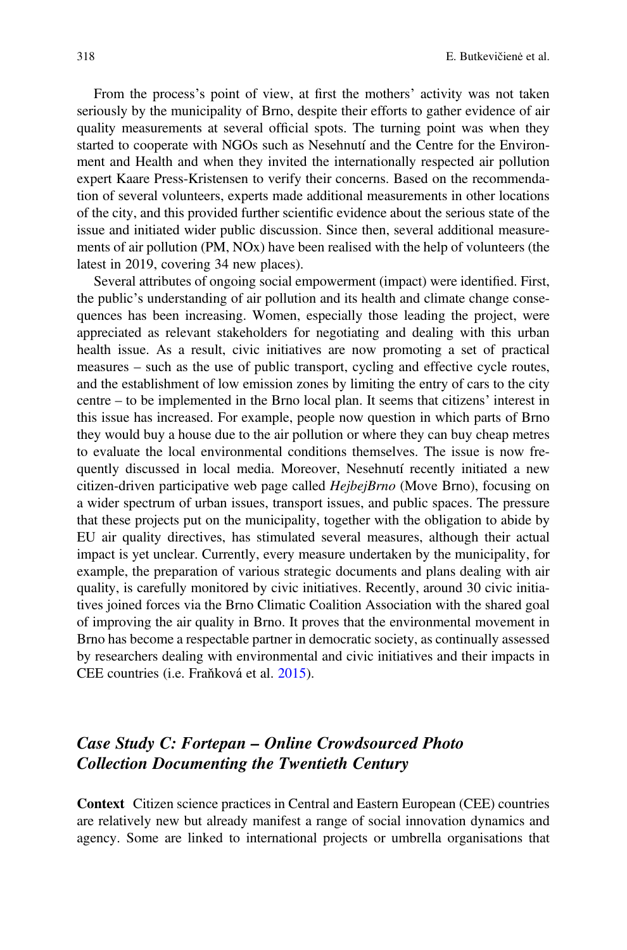From the process's point of view, at first the mothers' activity was not taken seriously by the municipality of Brno, despite their efforts to gather evidence of air quality measurements at several official spots. The turning point was when they started to cooperate with NGOs such as Nesehnutí and the Centre for the Environment and Health and when they invited the internationally respected air pollution expert Kaare Press-Kristensen to verify their concerns. Based on the recommendation of several volunteers, experts made additional measurements in other locations of the city, and this provided further scientific evidence about the serious state of the issue and initiated wider public discussion. Since then, several additional measurements of air pollution (PM, NOx) have been realised with the help of volunteers (the latest in 2019, covering 34 new places).

Several attributes of ongoing social empowerment (impact) were identified. First, the public's understanding of air pollution and its health and climate change consequences has been increasing. Women, especially those leading the project, were appreciated as relevant stakeholders for negotiating and dealing with this urban health issue. As a result, civic initiatives are now promoting a set of practical measures – such as the use of public transport, cycling and effective cycle routes, and the establishment of low emission zones by limiting the entry of cars to the city centre – to be implemented in the Brno local plan. It seems that citizens' interest in this issue has increased. For example, people now question in which parts of Brno they would buy a house due to the air pollution or where they can buy cheap metres to evaluate the local environmental conditions themselves. The issue is now frequently discussed in local media. Moreover, Nesehnutí recently initiated a new citizen-driven participative web page called *HejbejBrno* (Move Brno), focusing on a wider spectrum of urban issues, transport issues, and public spaces. The pressure that these projects put on the municipality, together with the obligation to abide by EU air quality directives, has stimulated several measures, although their actual impact is yet unclear. Currently, every measure undertaken by the municipality, for example, the preparation of various strategic documents and plans dealing with air quality, is carefully monitored by civic initiatives. Recently, around 30 civic initiatives joined forces via the Brno Climatic Coalition Association with the shared goal of improving the air quality in Brno. It proves that the environmental movement in Brno has become a respectable partner in democratic society, as continually assessed by researchers dealing with environmental and civic initiatives and their impacts in CEE countries (i.e. Fraňková et al. [2015\)](#page-17-15).

# Case Study C: Fortepan – Online Crowdsourced Photo Collection Documenting the Twentieth Century

Context Citizen science practices in Central and Eastern European (CEE) countries are relatively new but already manifest a range of social innovation dynamics and agency. Some are linked to international projects or umbrella organisations that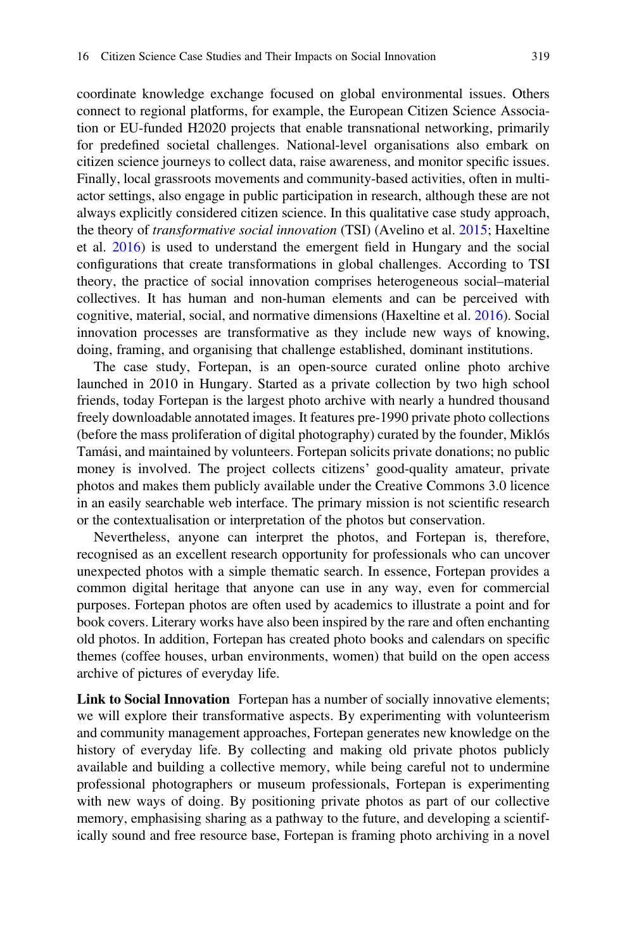coordinate knowledge exchange focused on global environmental issues. Others connect to regional platforms, for example, the European Citizen Science Association or EU-funded H2020 projects that enable transnational networking, primarily for predefined societal challenges. National-level organisations also embark on citizen science journeys to collect data, raise awareness, and monitor specific issues. Finally, local grassroots movements and community-based activities, often in multiactor settings, also engage in public participation in research, although these are not always explicitly considered citizen science. In this qualitative case study approach, the theory of transformative social innovation (TSI) (Avelino et al. [2015;](#page-16-0) Haxeltine et al. [2016\)](#page-17-16) is used to understand the emergent field in Hungary and the social configurations that create transformations in global challenges. According to TSI theory, the practice of social innovation comprises heterogeneous social–material collectives. It has human and non-human elements and can be perceived with cognitive, material, social, and normative dimensions (Haxeltine et al. [2016\)](#page-17-16). Social innovation processes are transformative as they include new ways of knowing, doing, framing, and organising that challenge established, dominant institutions.

The case study, Fortepan, is an open-source curated online photo archive launched in 2010 in Hungary. Started as a private collection by two high school friends, today Fortepan is the largest photo archive with nearly a hundred thousand freely downloadable annotated images. It features pre-1990 private photo collections (before the mass proliferation of digital photography) curated by the founder, Miklós Tamási, and maintained by volunteers. Fortepan solicits private donations; no public money is involved. The project collects citizens' good-quality amateur, private photos and makes them publicly available under the Creative Commons 3.0 licence in an easily searchable web interface. The primary mission is not scientific research or the contextualisation or interpretation of the photos but conservation.

Nevertheless, anyone can interpret the photos, and Fortepan is, therefore, recognised as an excellent research opportunity for professionals who can uncover unexpected photos with a simple thematic search. In essence, Fortepan provides a common digital heritage that anyone can use in any way, even for commercial purposes. Fortepan photos are often used by academics to illustrate a point and for book covers. Literary works have also been inspired by the rare and often enchanting old photos. In addition, Fortepan has created photo books and calendars on specific themes (coffee houses, urban environments, women) that build on the open access archive of pictures of everyday life.

Link to Social Innovation Fortepan has a number of socially innovative elements; we will explore their transformative aspects. By experimenting with volunteerism and community management approaches, Fortepan generates new knowledge on the history of everyday life. By collecting and making old private photos publicly available and building a collective memory, while being careful not to undermine professional photographers or museum professionals, Fortepan is experimenting with new ways of doing. By positioning private photos as part of our collective memory, emphasising sharing as a pathway to the future, and developing a scientifically sound and free resource base, Fortepan is framing photo archiving in a novel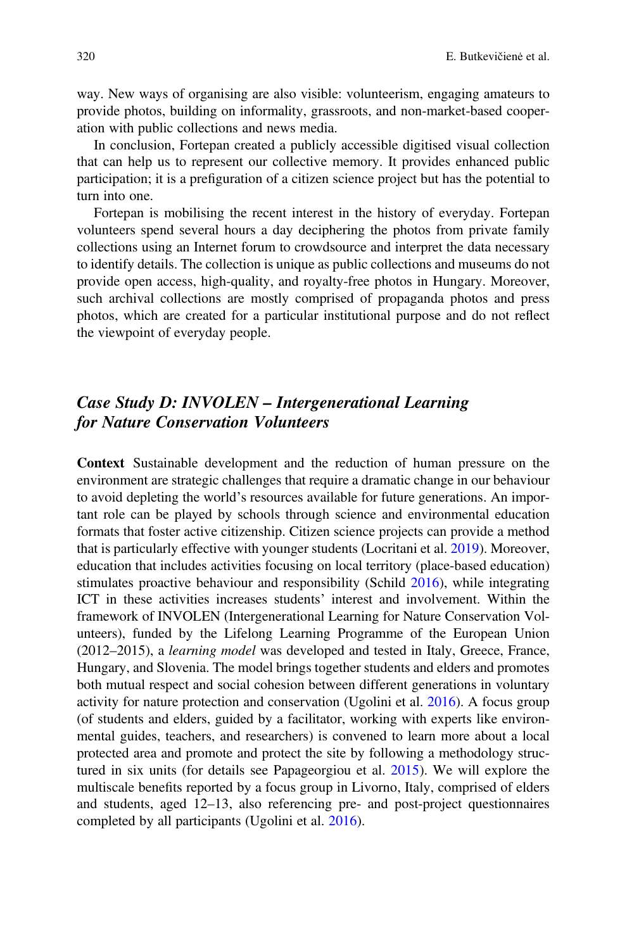way. New ways of organising are also visible: volunteerism, engaging amateurs to provide photos, building on informality, grassroots, and non-market-based cooperation with public collections and news media.

In conclusion, Fortepan created a publicly accessible digitised visual collection that can help us to represent our collective memory. It provides enhanced public participation; it is a prefiguration of a citizen science project but has the potential to turn into one.

Fortepan is mobilising the recent interest in the history of everyday. Fortepan volunteers spend several hours a day deciphering the photos from private family collections using an Internet forum to crowdsource and interpret the data necessary to identify details. The collection is unique as public collections and museums do not provide open access, high-quality, and royalty-free photos in Hungary. Moreover, such archival collections are mostly comprised of propaganda photos and press photos, which are created for a particular institutional purpose and do not reflect the viewpoint of everyday people.

# Case Study D: INVOLEN – Intergenerational Learning for Nature Conservation Volunteers

Context Sustainable development and the reduction of human pressure on the environment are strategic challenges that require a dramatic change in our behaviour to avoid depleting the world's resources available for future generations. An important role can be played by schools through science and environmental education formats that foster active citizenship. Citizen science projects can provide a method that is particularly effective with younger students (Locritani et al. [2019](#page-18-14)). Moreover, education that includes activities focusing on local territory (place-based education) stimulates proactive behaviour and responsibility (Schild [2016](#page-18-15)), while integrating ICT in these activities increases students' interest and involvement. Within the framework of INVOLEN (Intergenerational Learning for Nature Conservation Volunteers), funded by the Lifelong Learning Programme of the European Union (2012–2015), a learning model was developed and tested in Italy, Greece, France, Hungary, and Slovenia. The model brings together students and elders and promotes both mutual respect and social cohesion between different generations in voluntary activity for nature protection and conservation (Ugolini et al. [2016\)](#page-19-3). A focus group (of students and elders, guided by a facilitator, working with experts like environmental guides, teachers, and researchers) is convened to learn more about a local protected area and promote and protect the site by following a methodology structured in six units (for details see Papageorgiou et al. [2015](#page-18-16)). We will explore the multiscale benefits reported by a focus group in Livorno, Italy, comprised of elders and students, aged 12–13, also referencing pre- and post-project questionnaires completed by all participants (Ugolini et al. [2016](#page-19-3)).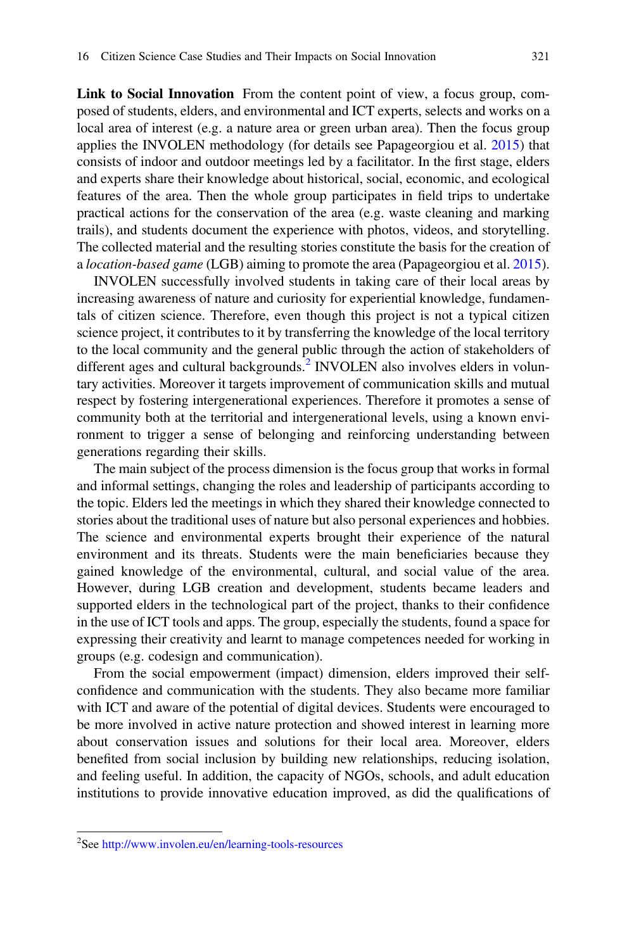Link to Social Innovation From the content point of view, a focus group, composed of students, elders, and environmental and ICT experts, selects and works on a local area of interest (e.g. a nature area or green urban area). Then the focus group applies the INVOLEN methodology (for details see Papageorgiou et al. [2015](#page-18-16)) that consists of indoor and outdoor meetings led by a facilitator. In the first stage, elders and experts share their knowledge about historical, social, economic, and ecological features of the area. Then the whole group participates in field trips to undertake practical actions for the conservation of the area (e.g. waste cleaning and marking trails), and students document the experience with photos, videos, and storytelling. The collected material and the resulting stories constitute the basis for the creation of a location-based game (LGB) aiming to promote the area (Papageorgiou et al. [2015\)](#page-18-16).

INVOLEN successfully involved students in taking care of their local areas by increasing awareness of nature and curiosity for experiential knowledge, fundamentals of citizen science. Therefore, even though this project is not a typical citizen science project, it contributes to it by transferring the knowledge of the local territory to the local community and the general public through the action of stakeholders of different ages and cultural backgrounds.<sup>[2](#page-12-0)</sup> INVOLEN also involves elders in voluntary activities. Moreover it targets improvement of communication skills and mutual respect by fostering intergenerational experiences. Therefore it promotes a sense of community both at the territorial and intergenerational levels, using a known environment to trigger a sense of belonging and reinforcing understanding between generations regarding their skills.

The main subject of the process dimension is the focus group that works in formal and informal settings, changing the roles and leadership of participants according to the topic. Elders led the meetings in which they shared their knowledge connected to stories about the traditional uses of nature but also personal experiences and hobbies. The science and environmental experts brought their experience of the natural environment and its threats. Students were the main beneficiaries because they gained knowledge of the environmental, cultural, and social value of the area. However, during LGB creation and development, students became leaders and supported elders in the technological part of the project, thanks to their confidence in the use of ICT tools and apps. The group, especially the students, found a space for expressing their creativity and learnt to manage competences needed for working in groups (e.g. codesign and communication).

From the social empowerment (impact) dimension, elders improved their selfconfidence and communication with the students. They also became more familiar with ICT and aware of the potential of digital devices. Students were encouraged to be more involved in active nature protection and showed interest in learning more about conservation issues and solutions for their local area. Moreover, elders benefited from social inclusion by building new relationships, reducing isolation, and feeling useful. In addition, the capacity of NGOs, schools, and adult education institutions to provide innovative education improved, as did the qualifications of

<span id="page-12-0"></span><sup>2</sup> See <http://www.involen.eu/en/learning-tools-resources>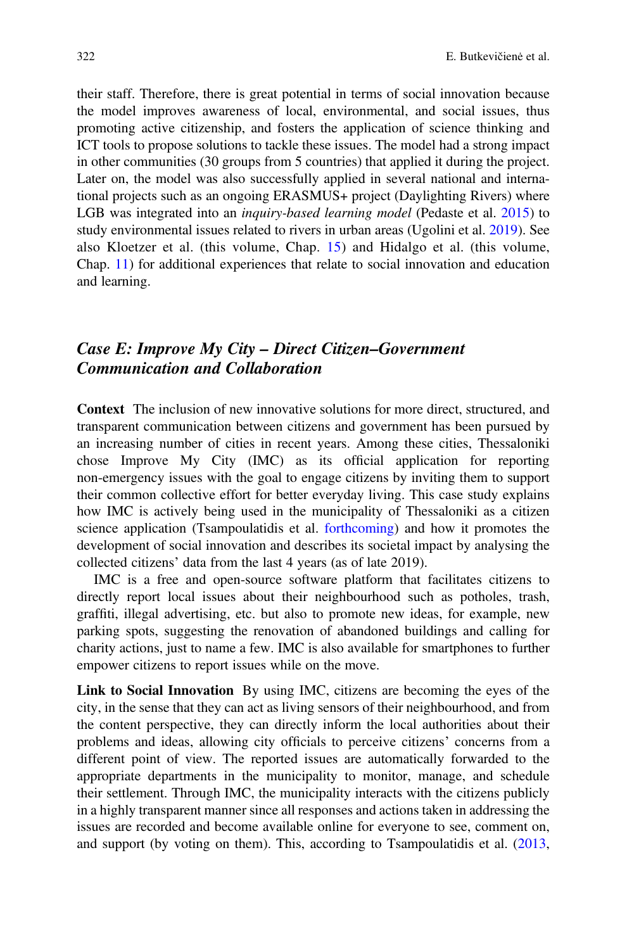their staff. Therefore, there is great potential in terms of social innovation because the model improves awareness of local, environmental, and social issues, thus promoting active citizenship, and fosters the application of science thinking and ICT tools to propose solutions to tackle these issues. The model had a strong impact in other communities (30 groups from 5 countries) that applied it during the project. Later on, the model was also successfully applied in several national and international projects such as an ongoing ERASMUS+ project (Daylighting Rivers) where LGB was integrated into an *inquiry-based learning model* (Pedaste et al. [2015](#page-18-17)) to study environmental issues related to rivers in urban areas (Ugolini et al. [2019](#page-19-4)). See also Kloetzer et al. (this volume, Chap. [15](https://doi.org/10.1007/978-3-030-58278-4_15)) and Hidalgo et al. (this volume, Chap. [11\)](https://doi.org/10.1007/978-3-030-58278-4_11) for additional experiences that relate to social innovation and education and learning.

### Case E: Improve My City – Direct Citizen–Government Communication and Collaboration

Context The inclusion of new innovative solutions for more direct, structured, and transparent communication between citizens and government has been pursued by an increasing number of cities in recent years. Among these cities, Thessaloniki chose Improve My City (IMC) as its official application for reporting non-emergency issues with the goal to engage citizens by inviting them to support their common collective effort for better everyday living. This case study explains how IMC is actively being used in the municipality of Thessaloniki as a citizen science application (Tsampoulatidis et al. [forthcoming](#page-19-5)) and how it promotes the development of social innovation and describes its societal impact by analysing the collected citizens' data from the last 4 years (as of late 2019).

IMC is a free and open-source software platform that facilitates citizens to directly report local issues about their neighbourhood such as potholes, trash, graffiti, illegal advertising, etc. but also to promote new ideas, for example, new parking spots, suggesting the renovation of abandoned buildings and calling for charity actions, just to name a few. IMC is also available for smartphones to further empower citizens to report issues while on the move.

Link to Social Innovation By using IMC, citizens are becoming the eyes of the city, in the sense that they can act as living sensors of their neighbourhood, and from the content perspective, they can directly inform the local authorities about their problems and ideas, allowing city officials to perceive citizens' concerns from a different point of view. The reported issues are automatically forwarded to the appropriate departments in the municipality to monitor, manage, and schedule their settlement. Through IMC, the municipality interacts with the citizens publicly in a highly transparent manner since all responses and actions taken in addressing the issues are recorded and become available online for everyone to see, comment on, and support (by voting on them). This, according to Tsampoulatidis et al. [\(2013](#page-19-6),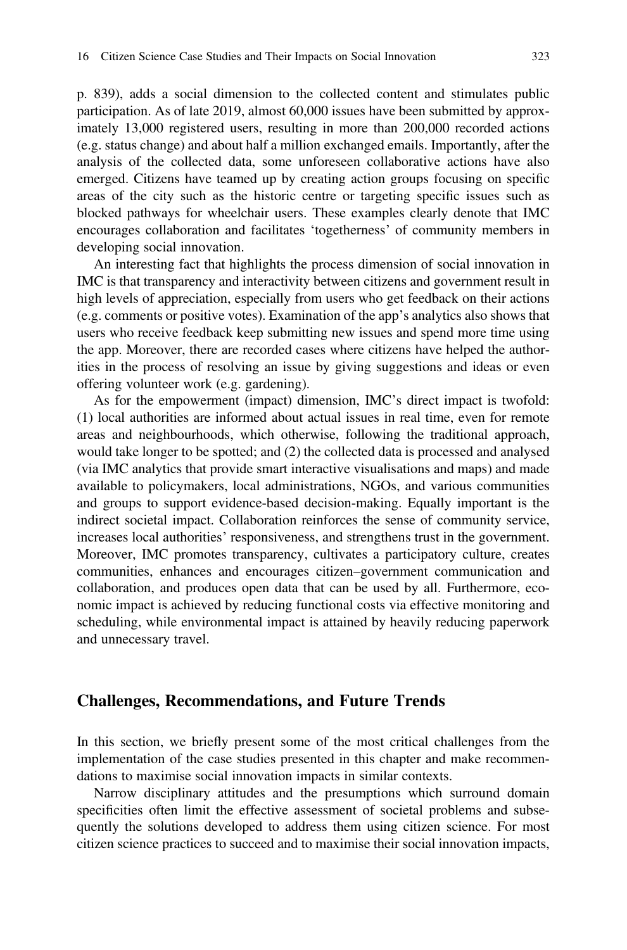p. 839), adds a social dimension to the collected content and stimulates public participation. As of late 2019, almost 60,000 issues have been submitted by approximately 13,000 registered users, resulting in more than 200,000 recorded actions (e.g. status change) and about half a million exchanged emails. Importantly, after the analysis of the collected data, some unforeseen collaborative actions have also emerged. Citizens have teamed up by creating action groups focusing on specific areas of the city such as the historic centre or targeting specific issues such as blocked pathways for wheelchair users. These examples clearly denote that IMC encourages collaboration and facilitates 'togetherness' of community members in developing social innovation.

An interesting fact that highlights the process dimension of social innovation in IMC is that transparency and interactivity between citizens and government result in high levels of appreciation, especially from users who get feedback on their actions (e.g. comments or positive votes). Examination of the app's analytics also shows that users who receive feedback keep submitting new issues and spend more time using the app. Moreover, there are recorded cases where citizens have helped the authorities in the process of resolving an issue by giving suggestions and ideas or even offering volunteer work (e.g. gardening).

As for the empowerment (impact) dimension, IMC's direct impact is twofold: (1) local authorities are informed about actual issues in real time, even for remote areas and neighbourhoods, which otherwise, following the traditional approach, would take longer to be spotted; and (2) the collected data is processed and analysed (via IMC analytics that provide smart interactive visualisations and maps) and made available to policymakers, local administrations, NGOs, and various communities and groups to support evidence-based decision-making. Equally important is the indirect societal impact. Collaboration reinforces the sense of community service, increases local authorities' responsiveness, and strengthens trust in the government. Moreover, IMC promotes transparency, cultivates a participatory culture, creates communities, enhances and encourages citizen–government communication and collaboration, and produces open data that can be used by all. Furthermore, economic impact is achieved by reducing functional costs via effective monitoring and scheduling, while environmental impact is attained by heavily reducing paperwork and unnecessary travel.

### Challenges, Recommendations, and Future Trends

In this section, we briefly present some of the most critical challenges from the implementation of the case studies presented in this chapter and make recommendations to maximise social innovation impacts in similar contexts.

Narrow disciplinary attitudes and the presumptions which surround domain specificities often limit the effective assessment of societal problems and subsequently the solutions developed to address them using citizen science. For most citizen science practices to succeed and to maximise their social innovation impacts,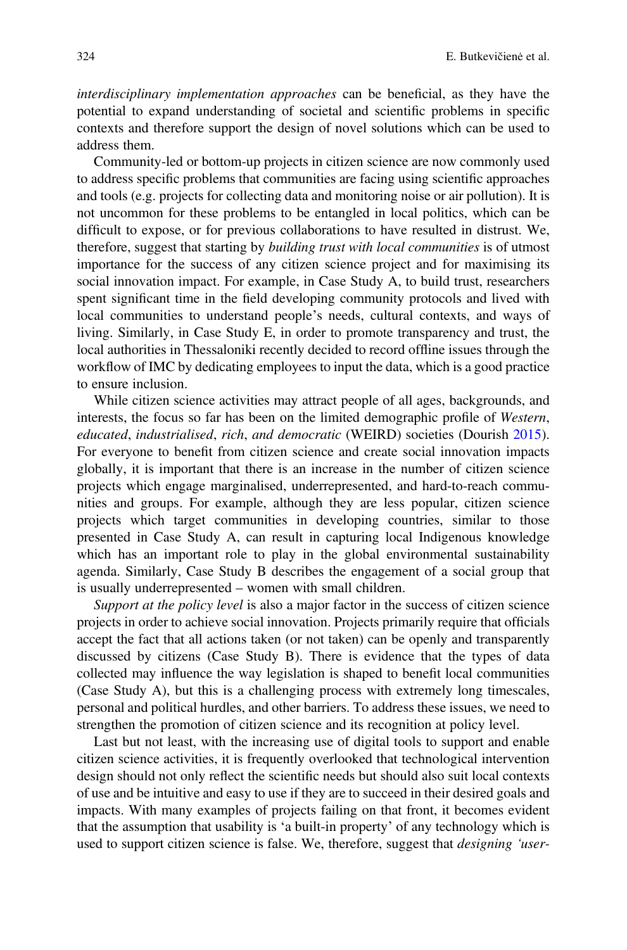interdisciplinary implementation approaches can be beneficial, as they have the potential to expand understanding of societal and scientific problems in specific contexts and therefore support the design of novel solutions which can be used to address them.

Community-led or bottom-up projects in citizen science are now commonly used to address specific problems that communities are facing using scientific approaches and tools (e.g. projects for collecting data and monitoring noise or air pollution). It is not uncommon for these problems to be entangled in local politics, which can be difficult to expose, or for previous collaborations to have resulted in distrust. We, therefore, suggest that starting by building trust with local communities is of utmost importance for the success of any citizen science project and for maximising its social innovation impact. For example, in Case Study A, to build trust, researchers spent significant time in the field developing community protocols and lived with local communities to understand people's needs, cultural contexts, and ways of living. Similarly, in Case Study E, in order to promote transparency and trust, the local authorities in Thessaloniki recently decided to record offline issues through the workflow of IMC by dedicating employees to input the data, which is a good practice to ensure inclusion.

While citizen science activities may attract people of all ages, backgrounds, and interests, the focus so far has been on the limited demographic profile of Western, educated, industrialised, rich, and democratic (WEIRD) societies (Dourish [2015\)](#page-17-17). For everyone to benefit from citizen science and create social innovation impacts globally, it is important that there is an increase in the number of citizen science projects which engage marginalised, underrepresented, and hard-to-reach communities and groups. For example, although they are less popular, citizen science projects which target communities in developing countries, similar to those presented in Case Study A, can result in capturing local Indigenous knowledge which has an important role to play in the global environmental sustainability agenda. Similarly, Case Study B describes the engagement of a social group that is usually underrepresented – women with small children.

Support at the policy level is also a major factor in the success of citizen science projects in order to achieve social innovation. Projects primarily require that officials accept the fact that all actions taken (or not taken) can be openly and transparently discussed by citizens (Case Study B). There is evidence that the types of data collected may influence the way legislation is shaped to benefit local communities (Case Study A), but this is a challenging process with extremely long timescales, personal and political hurdles, and other barriers. To address these issues, we need to strengthen the promotion of citizen science and its recognition at policy level.

Last but not least, with the increasing use of digital tools to support and enable citizen science activities, it is frequently overlooked that technological intervention design should not only reflect the scientific needs but should also suit local contexts of use and be intuitive and easy to use if they are to succeed in their desired goals and impacts. With many examples of projects failing on that front, it becomes evident that the assumption that usability is 'a built-in property' of any technology which is used to support citizen science is false. We, therefore, suggest that *designing 'user*-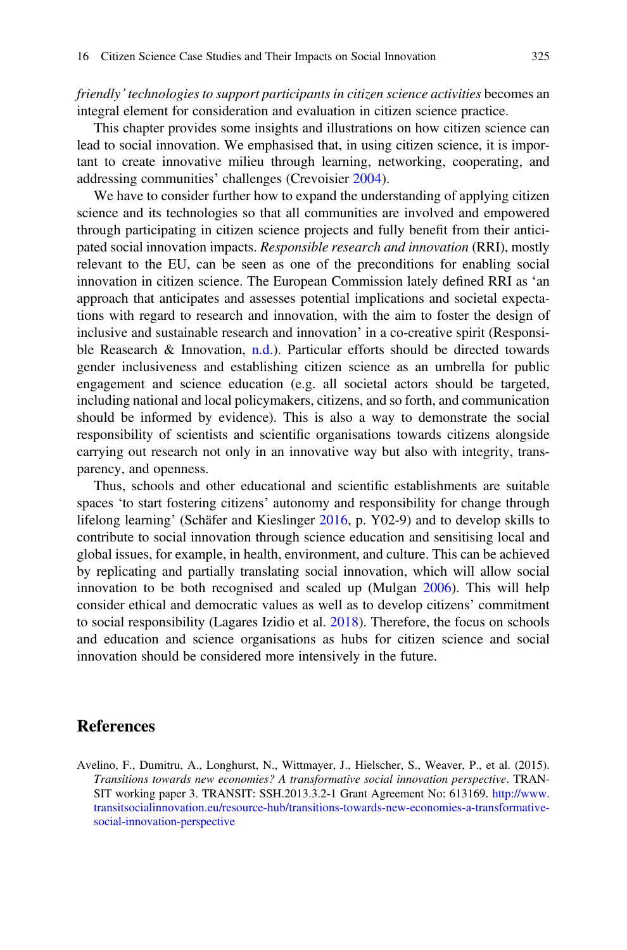friendly' technologies to support participants in citizen science activities becomes an integral element for consideration and evaluation in citizen science practice.

This chapter provides some insights and illustrations on how citizen science can lead to social innovation. We emphasised that, in using citizen science, it is important to create innovative milieu through learning, networking, cooperating, and addressing communities' challenges (Crevoisier [2004\)](#page-17-18).

We have to consider further how to expand the understanding of applying citizen science and its technologies so that all communities are involved and empowered through participating in citizen science projects and fully benefit from their anticipated social innovation impacts. Responsible research and innovation (RRI), mostly relevant to the EU, can be seen as one of the preconditions for enabling social innovation in citizen science. The European Commission lately defined RRI as 'an approach that anticipates and assesses potential implications and societal expectations with regard to research and innovation, with the aim to foster the design of inclusive and sustainable research and innovation' in a co-creative spirit (Responsible Reasearch & Innovation, [n.d.\)](#page-18-18). Particular efforts should be directed towards gender inclusiveness and establishing citizen science as an umbrella for public engagement and science education (e.g. all societal actors should be targeted, including national and local policymakers, citizens, and so forth, and communication should be informed by evidence). This is also a way to demonstrate the social responsibility of scientists and scientific organisations towards citizens alongside carrying out research not only in an innovative way but also with integrity, transparency, and openness.

Thus, schools and other educational and scientific establishments are suitable spaces 'to start fostering citizens' autonomy and responsibility for change through lifelong learning' (Schäfer and Kieslinger [2016,](#page-18-11) p. Y02-9) and to develop skills to contribute to social innovation through science education and sensitising local and global issues, for example, in health, environment, and culture. This can be achieved by replicating and partially translating social innovation, which will allow social innovation to be both recognised and scaled up (Mulgan [2006\)](#page-18-19). This will help consider ethical and democratic values as well as to develop citizens' commitment to social responsibility (Lagares Izidio et al. [2018\)](#page-18-7). Therefore, the focus on schools and education and science organisations as hubs for citizen science and social innovation should be considered more intensively in the future.

### References

<span id="page-16-0"></span>Avelino, F., Dumitru, A., Longhurst, N., Wittmayer, J., Hielscher, S., Weaver, P., et al. (2015). Transitions towards new economies? A transformative social innovation perspective. TRAN-SIT working paper 3. TRANSIT: SSH.2013.3.2-1 Grant Agreement No: 613169. [http://www.](http://www.transitsocialinnovation.eu/resource-hub/transitions-towards-new-economies-a-transformative-social-innovation-perspective) [transitsocialinnovation.eu/resource-hub/transitions-towards-new-economies-a-transformative](http://www.transitsocialinnovation.eu/resource-hub/transitions-towards-new-economies-a-transformative-social-innovation-perspective)[social-innovation-perspective](http://www.transitsocialinnovation.eu/resource-hub/transitions-towards-new-economies-a-transformative-social-innovation-perspective)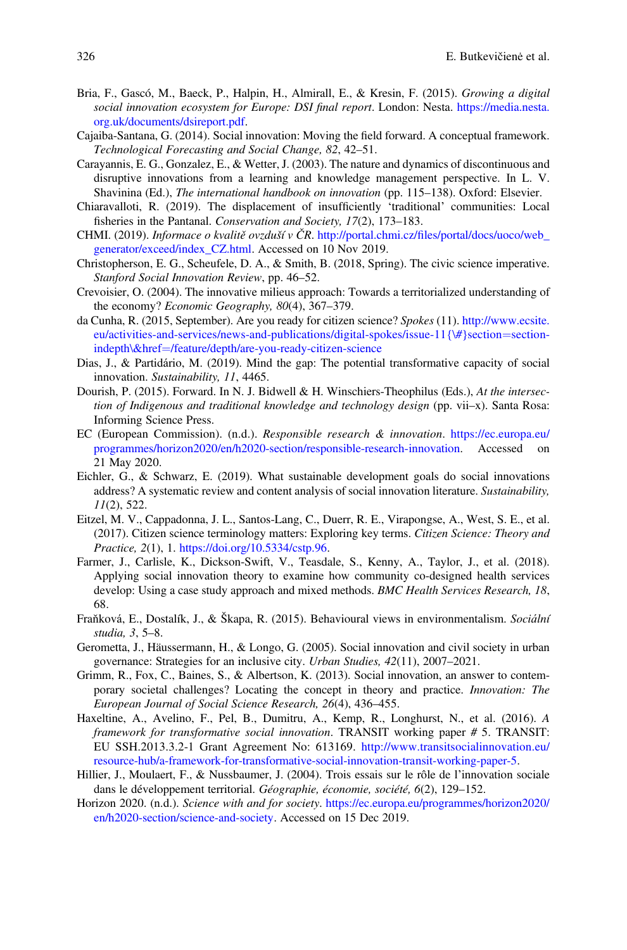- <span id="page-17-3"></span>Bria, F., Gascó, M., Baeck, P., Halpin, H., Almirall, E., & Kresin, F. (2015). Growing a digital social innovation ecosystem for Europe: DSI final report. London: Nesta. [https://media.nesta.](https://media.nesta.org.uk/documents/dsireport.pdf) [org.uk/documents/dsireport.pdf.](https://media.nesta.org.uk/documents/dsireport.pdf)
- <span id="page-17-5"></span>Cajaiba-Santana, G. (2014). Social innovation: Moving the field forward. A conceptual framework. Technological Forecasting and Social Change, 82, 42–51.
- <span id="page-17-6"></span>Carayannis, E. G., Gonzalez, E., & Wetter, J. (2003). The nature and dynamics of discontinuous and disruptive innovations from a learning and knowledge management perspective. In L. V. Shavinina (Ed.), The international handbook on innovation (pp. 115–138). Oxford: Elsevier.
- <span id="page-17-13"></span>Chiaravalloti, R. (2019). The displacement of insufficiently 'traditional' communities: Local fisheries in the Pantanal. Conservation and Society, 17(2), 173–183.
- <span id="page-17-14"></span>CHMI. (2019). Informace o kvalitě ovzduší v ČR. http://portal.chmi.cz/fi[les/portal/docs/uoco/web\\_](http://portal.chmi.cz/files/portal/docs/uoco/web_generator/exceed/index_CZ.html) [generator/exceed/index\\_CZ.html](http://portal.chmi.cz/files/portal/docs/uoco/web_generator/exceed/index_CZ.html). Accessed on 10 Nov 2019.
- <span id="page-17-8"></span>Christopherson, E. G., Scheufele, D. A., & Smith, B. (2018, Spring). The civic science imperative. Stanford Social Innovation Review, pp. 46–52.
- <span id="page-17-18"></span>Crevoisier, O. (2004). The innovative milieus approach: Towards a territorialized understanding of the economy? Economic Geography, 80(4), 367–379.
- <span id="page-17-12"></span>da Cunha, R. (2015, September). Are you ready for citizen science? Spokes (11). [http://www.ecsite.](http://www.ecsite.eu/activities-and-services/news-and-publications/digital-spokes/issue-11%7b/#%7Dsection=section-indepth%5C&href=/feature/depth/are-you-ready-citizen-science) eu/activities-and-services/news-and-publications/digital-spokes/issue-11{ $\#$ }section=[section](http://www.ecsite.eu/activities-and-services/news-and-publications/digital-spokes/issue-11%7b/#%7Dsection=section-indepth%5C&href=/feature/depth/are-you-ready-citizen-science)[indepth\&href](http://www.ecsite.eu/activities-and-services/news-and-publications/digital-spokes/issue-11%7b/#%7Dsection=section-indepth%5C&href=/feature/depth/are-you-ready-citizen-science)=[/feature/depth/are-you-ready-citizen-science](http://www.ecsite.eu/activities-and-services/news-and-publications/digital-spokes/issue-11%7b/#%7Dsection=section-indepth%5C&href=/feature/depth/are-you-ready-citizen-science)
- <span id="page-17-1"></span>Dias, J., & Partidário, M. (2019). Mind the gap: The potential transformative capacity of social innovation. Sustainability, 11, 4465.
- <span id="page-17-17"></span>Dourish, P. (2015). Forward. In N. J. Bidwell & H. Winschiers-Theophilus (Eds.), At the intersection of Indigenous and traditional knowledge and technology design (pp. vii–x). Santa Rosa: Informing Science Press.
- EC (European Commission). (n.d.). Responsible research & innovation. [https://ec.europa.eu/](https://ec.europa.eu/programmes/horizon2020/en/h2020-section/responsible-research-innovation) [programmes/horizon2020/en/h2020-section/responsible-research-innovation.](https://ec.europa.eu/programmes/horizon2020/en/h2020-section/responsible-research-innovation) Accessed on 21 May 2020.
- <span id="page-17-2"></span>Eichler, G., & Schwarz, E. (2019). What sustainable development goals do social innovations address? A systematic review and content analysis of social innovation literature. Sustainability, 11(2), 522.
- <span id="page-17-9"></span>Eitzel, M. V., Cappadonna, J. L., Santos-Lang, C., Duerr, R. E., Virapongse, A., West, S. E., et al. (2017). Citizen science terminology matters: Exploring key terms. Citizen Science: Theory and Practice, 2(1), 1. <https://doi.org/10.5334/cstp.96>.
- <span id="page-17-10"></span>Farmer, J., Carlisle, K., Dickson-Swift, V., Teasdale, S., Kenny, A., Taylor, J., et al. (2018). Applying social innovation theory to examine how community co-designed health services develop: Using a case study approach and mixed methods. *BMC Health Services Research*, 18, 68.
- <span id="page-17-15"></span>Fraňková, E., Dostalík, J., & Škapa, R. (2015). Behavioural views in environmentalism. Sociální studia, 3, 5–8.
- <span id="page-17-4"></span>Gerometta, J., Häussermann, H., & Longo, G. (2005). Social innovation and civil society in urban governance: Strategies for an inclusive city. Urban Studies, 42(11), 2007–2021.
- <span id="page-17-7"></span>Grimm, R., Fox, C., Baines, S., & Albertson, K. (2013). Social innovation, an answer to contemporary societal challenges? Locating the concept in theory and practice. Innovation: The European Journal of Social Science Research, 26(4), 436–455.
- <span id="page-17-16"></span>Haxeltine, A., Avelino, F., Pel, B., Dumitru, A., Kemp, R., Longhurst, N., et al. (2016). A framework for transformative social innovation. TRANSIT working paper # 5. TRANSIT: EU SSH.2013.3.2-1 Grant Agreement No: 613169. [http://www.transitsocialinnovation.eu/](http://www.transitsocialinnovation.eu/resource-hub/a-framework-for-transformative-social-innovation-transit-working-paper-5) [resource-hub/a-framework-for-transformative-social-innovation-transit-working-paper-5](http://www.transitsocialinnovation.eu/resource-hub/a-framework-for-transformative-social-innovation-transit-working-paper-5).
- <span id="page-17-11"></span>Hillier, J., Moulaert, F., & Nussbaumer, J. (2004). Trois essais sur le rôle de l'innovation sociale dans le développement territorial. Géographie, économie, société, 6(2), 129–152.
- <span id="page-17-0"></span>Horizon 2020. (n.d.). Science with and for society. [https://ec.europa.eu/programmes/horizon2020/](https://ec.europa.eu/programmes/horizon2020/en/h2020-section/science-and-society) [en/h2020-section/science-and-society.](https://ec.europa.eu/programmes/horizon2020/en/h2020-section/science-and-society) Accessed on 15 Dec 2019.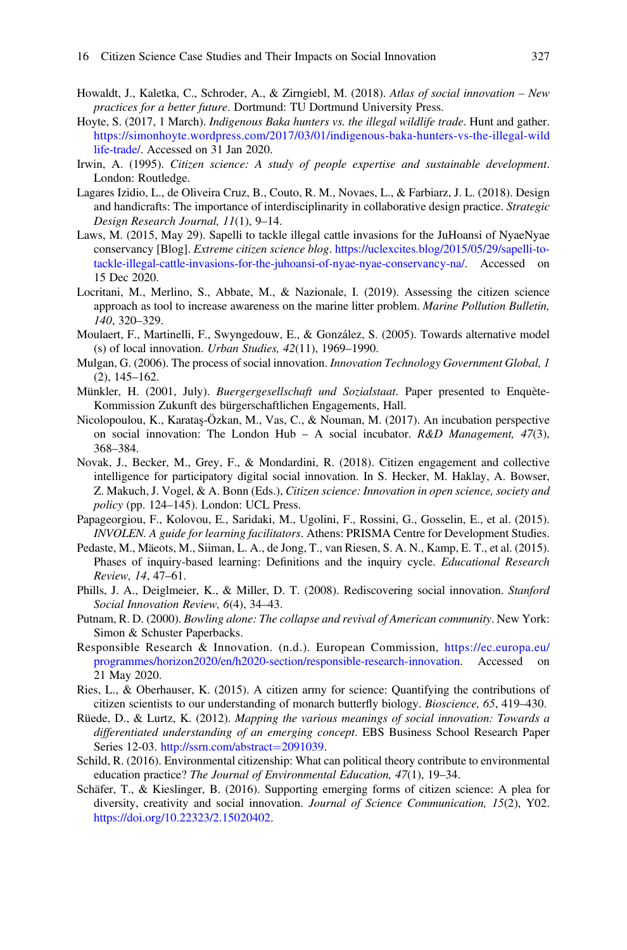- <span id="page-18-0"></span>Howaldt, J., Kaletka, C., Schroder, A., & Zirngiebl, M. (2018). Atlas of social innovation – New practices for a better future. Dortmund: TU Dortmund University Press.
- <span id="page-18-13"></span>Hoyte, S. (2017, 1 March). Indigenous Baka hunters vs. the illegal wildlife trade. Hunt and gather. [https://simonhoyte.wordpress.com/2017/03/01/indigenous-baka-hunters-vs-the-illegal-wild](https://simonhoyte.wordpress.com/2017/03/01/indigenous-baka-hunters-vs-the-illegal-wildlife-trade/) [life-trade/.](https://simonhoyte.wordpress.com/2017/03/01/indigenous-baka-hunters-vs-the-illegal-wildlife-trade/) Accessed on 31 Jan 2020.
- <span id="page-18-2"></span>Irwin, A. (1995). Citizen science: A study of people expertise and sustainable development. London: Routledge.
- <span id="page-18-7"></span>Lagares Izidio, L., de Oliveira Cruz, B., Couto, R. M., Novaes, L., & Farbiarz, J. L. (2018). Design and handicrafts: The importance of interdisciplinarity in collaborative design practice. Strategic Design Research Journal, 11(1), 9–14.
- <span id="page-18-12"></span>Laws, M. (2015, May 29). Sapelli to tackle illegal cattle invasions for the JuHoansi of NyaeNyae conservancy [Blog]. Extreme citizen science blog. [https://uclexcites.blog/2015/05/29/sapelli-to](https://uclexcites.blog/2015/05/29/sapelli-to-tackle-illegal-cattle-invasions-for-the-juhoansi-of-nyae-nyae-conservancy-na/)[tackle-illegal-cattle-invasions-for-the-juhoansi-of-nyae-nyae-conservancy-na/.](https://uclexcites.blog/2015/05/29/sapelli-to-tackle-illegal-cattle-invasions-for-the-juhoansi-of-nyae-nyae-conservancy-na/) Accessed on 15 Dec 2020.
- <span id="page-18-14"></span>Locritani, M., Merlino, S., Abbate, M., & Nazionale, I. (2019). Assessing the citizen science approach as tool to increase awareness on the marine litter problem. Marine Pollution Bulletin, 140, 320–329.
- <span id="page-18-5"></span>Moulaert, F., Martinelli, F., Swyngedouw, E., & González, S. (2005). Towards alternative model (s) of local innovation. Urban Studies, 42(11), 1969–1990.
- <span id="page-18-19"></span>Mulgan, G. (2006). The process of social innovation. *Innovation Technology Government Global*, 1 (2), 145–162.
- <span id="page-18-9"></span>Münkler, H. (2001, July). *Buergergesellschaft und Sozialstaat*. Paper presented to Enquète-Kommission Zukunft des bürgerschaftlichen Engagements, Hall.
- <span id="page-18-8"></span>Nicolopoulou, K., Karataş-Özkan, M., Vas, C., & Nouman, M. (2017). An incubation perspective on social innovation: The London Hub - A social incubator.  $R&D$  Management, 47(3), 368–384.
- <span id="page-18-10"></span>Novak, J., Becker, M., Grey, F., & Mondardini, R. (2018). Citizen engagement and collective intelligence for participatory digital social innovation. In S. Hecker, M. Haklay, A. Bowser, Z. Makuch, J. Vogel, & A. Bonn (Eds.), Citizen science: Innovation in open science, society and policy (pp. 124–145). London: UCL Press.
- <span id="page-18-16"></span>Papageorgiou, F., Kolovou, E., Saridaki, M., Ugolini, F., Rossini, G., Gosselin, E., et al. (2015). INVOLEN. A guide for learning facilitators. Athens: PRISMA Centre for Development Studies.
- <span id="page-18-17"></span>Pedaste, M., Mäeots, M., Siiman, L. A., de Jong, T., van Riesen, S. A. N., Kamp, E. T., et al. (2015). Phases of inquiry-based learning: Definitions and the inquiry cycle. Educational Research Review, 14, 47–61.
- <span id="page-18-4"></span>Phills, J. A., Deiglmeier, K., & Miller, D. T. (2008). Rediscovering social innovation. Stanford Social Innovation Review, 6(4), 34–43.
- <span id="page-18-6"></span>Putnam, R. D. (2000). Bowling alone: The collapse and revival of American community. New York: Simon & Schuster Paperbacks.
- <span id="page-18-18"></span>Responsible Research & Innovation. (n.d.). European Commission, [https://ec.europa.eu/](https://ec.europa.eu/programmes/horizon2020/en/h2020-section/responsible-research-innovation) [programmes/horizon2020/en/h2020-section/responsible-research-innovation.](https://ec.europa.eu/programmes/horizon2020/en/h2020-section/responsible-research-innovation) Accessed on 21 May 2020.
- <span id="page-18-1"></span>Ries, L., & Oberhauser, K. (2015). A citizen army for science: Quantifying the contributions of citizen scientists to our understanding of monarch butterfly biology. Bioscience, 65, 419–430.
- <span id="page-18-3"></span>Rüede, D., & Lurtz, K. (2012). Mapping the various meanings of social innovation: Towards a differentiated understanding of an emerging concept. EBS Business School Research Paper Series 12-03. [http://ssrn.com/abstract](http://ssrn.com/abstract=2091039)=[2091039](http://ssrn.com/abstract=2091039).
- <span id="page-18-15"></span>Schild, R. (2016). Environmental citizenship: What can political theory contribute to environmental education practice? The Journal of Environmental Education, 47(1), 19–34.
- <span id="page-18-11"></span>Schäfer, T., & Kieslinger, B. (2016). Supporting emerging forms of citizen science: A plea for diversity, creativity and social innovation. Journal of Science Communication, 15(2), Y02. [https://doi.org/10.22323/2.15020402.](https://doi.org/10.22323/2.15020402)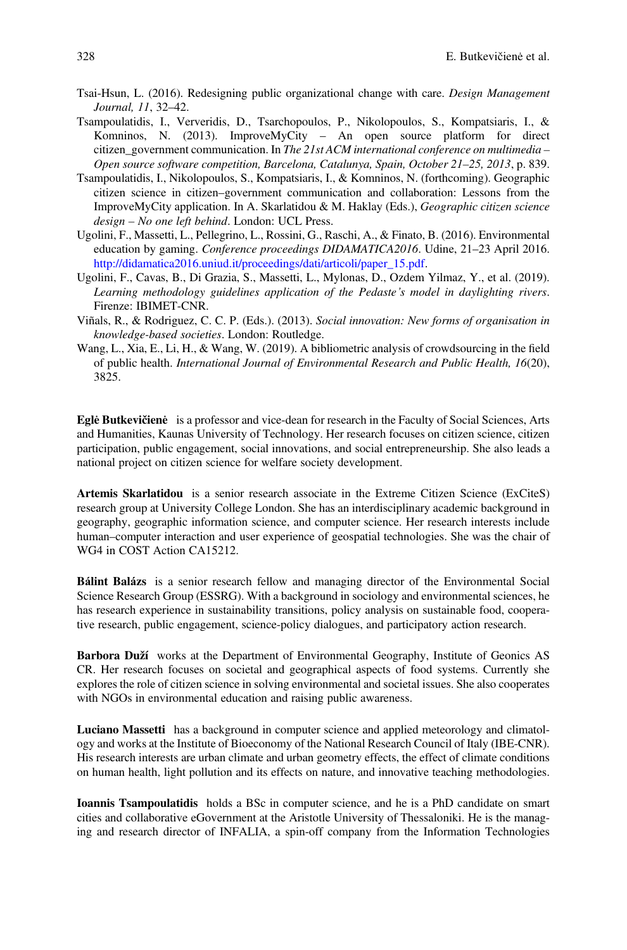- <span id="page-19-2"></span>Tsai-Hsun, L. (2016). Redesigning public organizational change with care. Design Management Journal, 11, 32–42.
- <span id="page-19-6"></span>Tsampoulatidis, I., Ververidis, D., Tsarchopoulos, P., Nikolopoulos, S., Kompatsiaris, I., & Komninos, N. (2013). ImproveMyCity – An open source platform for direct citizen government communication. In The 21st ACM international conference on multimedia – Open source software competition, Barcelona, Catalunya, Spain, October 21–25, 2013, p. 839.
- <span id="page-19-5"></span>Tsampoulatidis, I., Nikolopoulos, S., Kompatsiaris, I., & Komninos, N. (forthcoming). Geographic citizen science in citizen–government communication and collaboration: Lessons from the ImproveMyCity application. In A. Skarlatidou & M. Haklay (Eds.), Geographic citizen science design – No one left behind. London: UCL Press.
- <span id="page-19-3"></span>Ugolini, F., Massetti, L., Pellegrino, L., Rossini, G., Raschi, A., & Finato, B. (2016). Environmental education by gaming. *Conference proceedings DIDAMATICA2016*. Udine, 21–23 April 2016. [http://didamatica2016.uniud.it/proceedings/dati/articoli/paper\\_15.pdf.](http://didamatica2016.uniud.it/proceedings/dati/articoli/paper_15.pdf)
- <span id="page-19-4"></span>Ugolini, F., Cavas, B., Di Grazia, S., Massetti, L., Mylonas, D., Ozdem Yilmaz, Y., et al. (2019). Learning methodology guidelines application of the Pedaste's model in daylighting rivers. Firenze: IBIMET-CNR.
- <span id="page-19-0"></span>Viñals, R., & Rodriguez, C. C. P. (Eds.). (2013). Social innovation: New forms of organisation in knowledge-based societies. London: Routledge.
- <span id="page-19-1"></span>Wang, L., Xia, E., Li, H., & Wang, W. (2019). A bibliometric analysis of crowdsourcing in the field of public health. International Journal of Environmental Research and Public Health, 16(20), 3825.

Eglė Butkevičienė is a professor and vice-dean for research in the Faculty of Social Sciences, Arts and Humanities, Kaunas University of Technology. Her research focuses on citizen science, citizen participation, public engagement, social innovations, and social entrepreneurship. She also leads a national project on citizen science for welfare society development.

Artemis Skarlatidou is a senior research associate in the Extreme Citizen Science (ExCiteS) research group at University College London. She has an interdisciplinary academic background in geography, geographic information science, and computer science. Her research interests include human–computer interaction and user experience of geospatial technologies. She was the chair of WG4 in COST Action CA15212.

Bálint Balázs is a senior research fellow and managing director of the Environmental Social Science Research Group (ESSRG). With a background in sociology and environmental sciences, he has research experience in sustainability transitions, policy analysis on sustainable food, cooperative research, public engagement, science-policy dialogues, and participatory action research.

Barbora Duží works at the Department of Environmental Geography, Institute of Geonics AS CR. Her research focuses on societal and geographical aspects of food systems. Currently she explores the role of citizen science in solving environmental and societal issues. She also cooperates with NGOs in environmental education and raising public awareness.

Luciano Massetti has a background in computer science and applied meteorology and climatology and works at the Institute of Bioeconomy of the National Research Council of Italy (IBE-CNR). His research interests are urban climate and urban geometry effects, the effect of climate conditions on human health, light pollution and its effects on nature, and innovative teaching methodologies.

Ioannis Tsampoulatidis holds a BSc in computer science, and he is a PhD candidate on smart cities and collaborative eGovernment at the Aristotle University of Thessaloniki. He is the managing and research director of INFALIA, a spin-off company from the Information Technologies